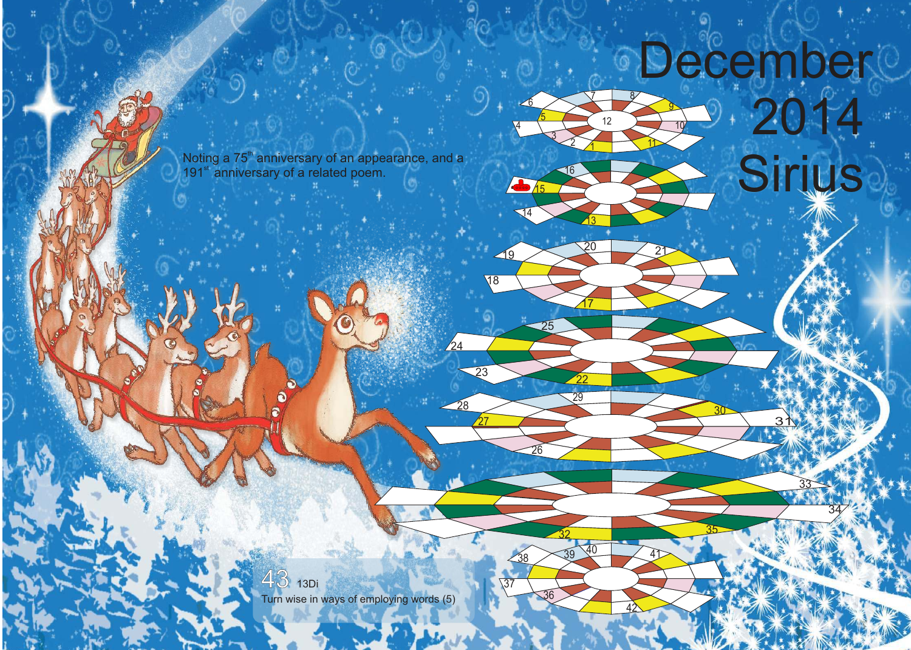## December

 

 $21$ 

<u> 17</u>

 $\sqrt{8}$ 

 

 $\sqrt{6}$ 

<sup>22</sup>

<sup>29</sup>

<sup>41</sup> <sup>40</sup> <sup>39</sup>

 $\sqrt{37}$ 

<u>27</u>

 $\sqrt{24}$ 

 $\overline{5}$ 

Noting a 75<sup>th</sup> anniversary of an appearance, and a<br>191<sup>st</sup> anniversary of a related poem.<br> **Example 2016** 191<sup>st</sup> anniversary of a related poem.

> 13Di Turn wise in ways of employing words (5)